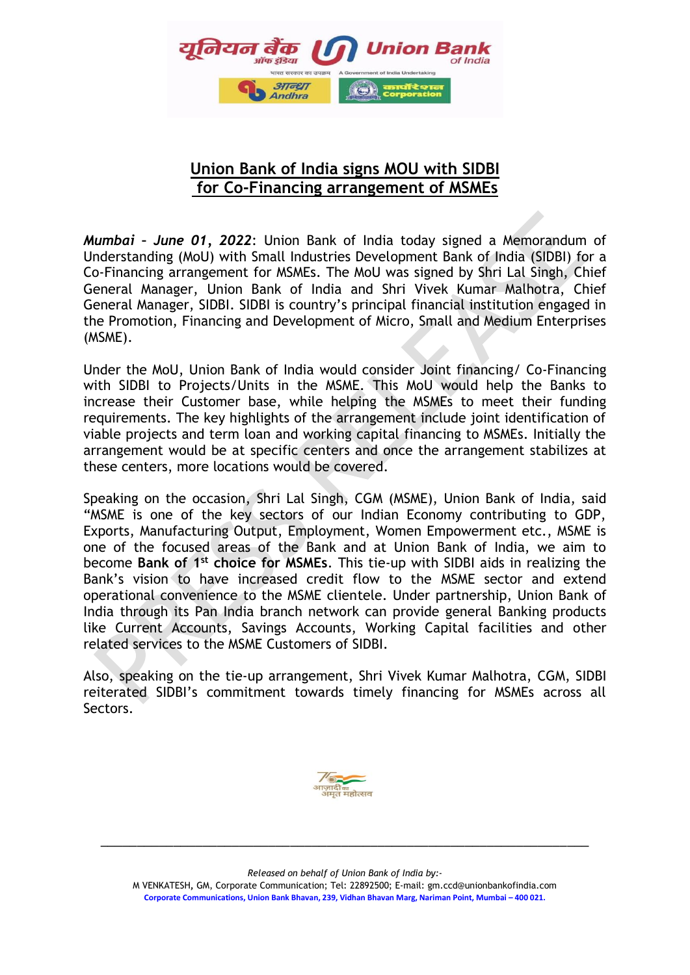

## **Union Bank of India signs MOU with SIDBI for Co-Financing arrangement of MSMEs**

*Mumbai – June 01, 2022*: Union Bank of India today signed a Memorandum of Understanding (MoU) with Small Industries Development Bank of India (SIDBI) for a Co-Financing arrangement for MSMEs. The MoU was signed by Shri Lal Singh, Chief General Manager, Union Bank of India and Shri Vivek Kumar Malhotra, Chief General Manager, SIDBI. SIDBI is country's principal financial institution engaged in the Promotion, Financing and Development of Micro, Small and Medium Enterprises (MSME).

Under the MoU, Union Bank of India would consider Joint financing/ Co-Financing with SIDBI to Projects/Units in the MSME. This MoU would help the Banks to increase their Customer base, while helping the MSMEs to meet their funding requirements. The key highlights of the arrangement include joint identification of viable projects and term loan and working capital financing to MSMEs. Initially the arrangement would be at specific centers and once the arrangement stabilizes at these centers, more locations would be covered.

Speaking on the occasion, Shri Lal Singh, CGM (MSME), Union Bank of India, said "MSME is one of the key sectors of our Indian Economy contributing to GDP, Exports, Manufacturing Output, Employment, Women Empowerment etc., MSME is one of the focused areas of the Bank and at Union Bank of India, we aim to become **Bank of 1st choice for MSMEs**. This tie-up with SIDBI aids in realizing the Bank's vision to have increased credit flow to the MSME sector and extend operational convenience to the MSME clientele. Under partnership, Union Bank of India through its Pan India branch network can provide general Banking products like Current Accounts, Savings Accounts, Working Capital facilities and other related services to the MSME Customers of SIDBI.

Also, speaking on the tie-up arrangement, Shri Vivek Kumar Malhotra, CGM, SIDBI reiterated SIDBI's commitment towards timely financing for MSMEs across all Sectors.



*Released on behalf of Union Bank of India by:-*

\_\_\_\_\_\_\_\_\_\_\_\_\_\_\_\_\_\_\_\_\_\_\_\_\_\_\_\_\_\_\_\_\_\_\_\_\_\_\_\_\_\_\_\_\_\_\_\_\_\_\_\_\_\_\_\_\_\_\_\_\_\_\_\_\_\_\_

M VENKATESH**,** GM, Corporate Communication; Tel: 22892500; E-mail: gm.ccd@unionbankofindia.com **Corporate Communications, Union Bank Bhavan, 239, Vidhan Bhavan Marg, Nariman Point, Mumbai – 400 021.**